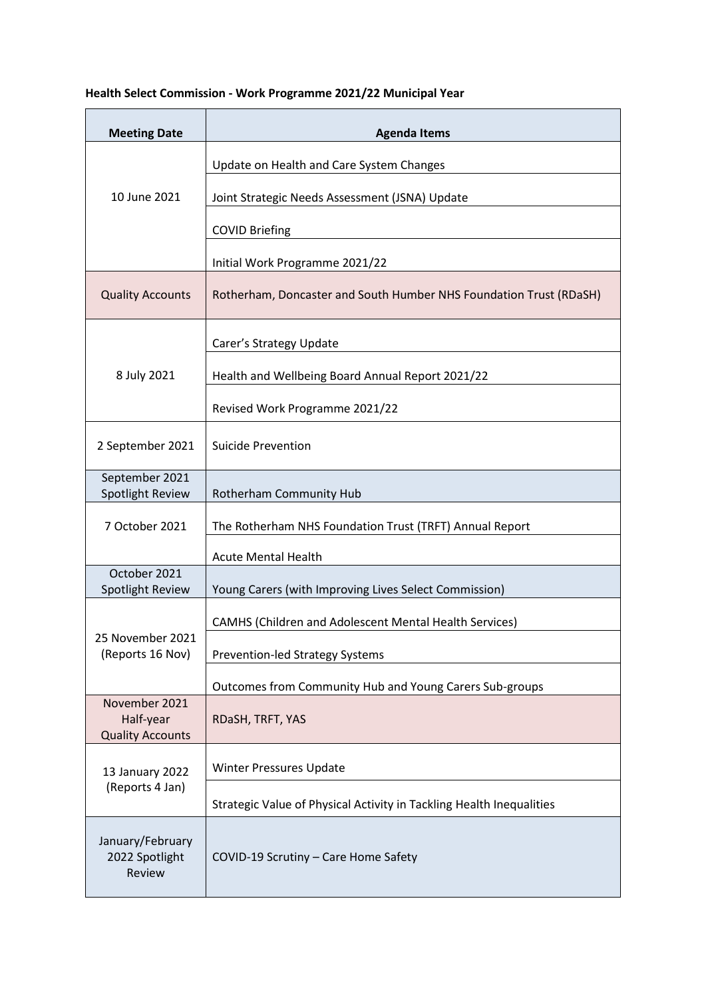## **Health Select Commission - Work Programme 2021/22 Municipal Year**

| <b>Meeting Date</b>                                   | <b>Agenda Items</b>                                                  |
|-------------------------------------------------------|----------------------------------------------------------------------|
| 10 June 2021                                          | Update on Health and Care System Changes                             |
|                                                       | Joint Strategic Needs Assessment (JSNA) Update                       |
|                                                       | <b>COVID Briefing</b>                                                |
|                                                       | Initial Work Programme 2021/22                                       |
| <b>Quality Accounts</b>                               | Rotherham, Doncaster and South Humber NHS Foundation Trust (RDaSH)   |
| 8 July 2021                                           | Carer's Strategy Update                                              |
|                                                       | Health and Wellbeing Board Annual Report 2021/22                     |
|                                                       | Revised Work Programme 2021/22                                       |
| 2 September 2021                                      | <b>Suicide Prevention</b>                                            |
| September 2021<br>Spotlight Review                    | Rotherham Community Hub                                              |
| 7 October 2021                                        | The Rotherham NHS Foundation Trust (TRFT) Annual Report              |
|                                                       | <b>Acute Mental Health</b>                                           |
| October 2021<br>Spotlight Review                      | Young Carers (with Improving Lives Select Commission)                |
| 25 November 2021<br>(Reports 16 Nov)                  | CAMHS (Children and Adolescent Mental Health Services)               |
|                                                       | <b>Prevention-led Strategy Systems</b>                               |
|                                                       | Outcomes from Community Hub and Young Carers Sub-groups              |
| November 2021<br>Half-year<br><b>Quality Accounts</b> | RDaSH, TRFT, YAS                                                     |
| 13 January 2022<br>(Reports 4 Jan)                    | Winter Pressures Update                                              |
|                                                       | Strategic Value of Physical Activity in Tackling Health Inequalities |
| January/February<br>2022 Spotlight<br>Review          | COVID-19 Scrutiny - Care Home Safety                                 |